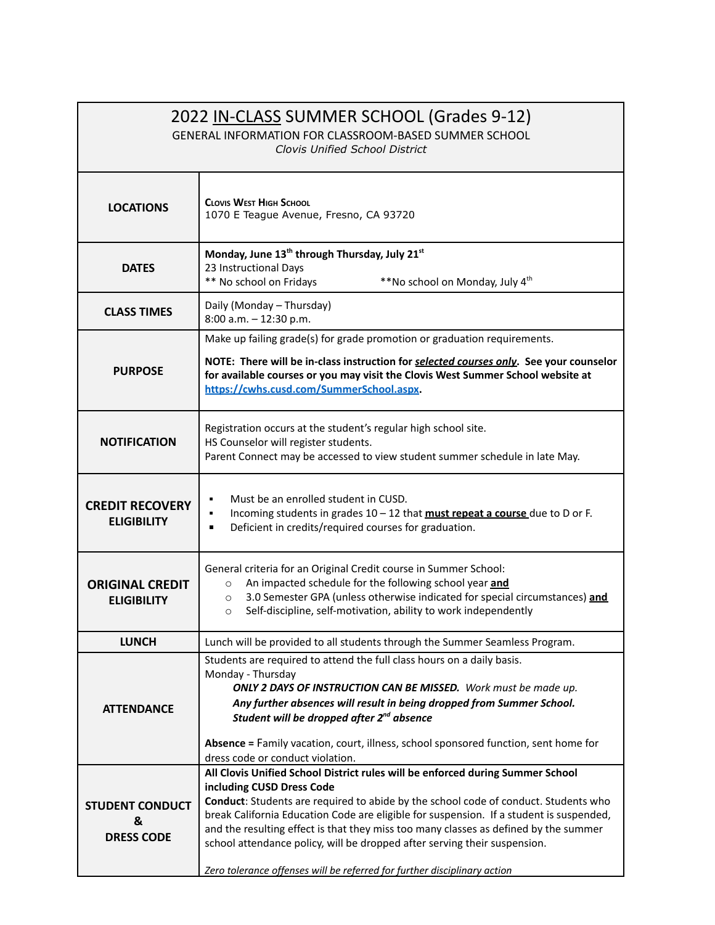| 2022 IN-CLASS SUMMER SCHOOL (Grades 9-12)<br>GENERAL INFORMATION FOR CLASSROOM-BASED SUMMER SCHOOL<br>Clovis Unified School District |                                                                                                                                                                                                                                                                                                                                                                                                                                                                                                                                                |
|--------------------------------------------------------------------------------------------------------------------------------------|------------------------------------------------------------------------------------------------------------------------------------------------------------------------------------------------------------------------------------------------------------------------------------------------------------------------------------------------------------------------------------------------------------------------------------------------------------------------------------------------------------------------------------------------|
|                                                                                                                                      |                                                                                                                                                                                                                                                                                                                                                                                                                                                                                                                                                |
| <b>LOCATIONS</b>                                                                                                                     | <b>CLOVIS WEST HIGH SCHOOL</b><br>1070 E Teague Avenue, Fresno, CA 93720                                                                                                                                                                                                                                                                                                                                                                                                                                                                       |
| <b>DATES</b>                                                                                                                         | Monday, June 13 <sup>th</sup> through Thursday, July 21 <sup>st</sup><br>23 Instructional Days<br>** No school on Fridays<br>**No school on Monday, July 4 <sup>th</sup>                                                                                                                                                                                                                                                                                                                                                                       |
| <b>CLASS TIMES</b>                                                                                                                   | Daily (Monday - Thursday)<br>8:00 a.m. - 12:30 p.m.                                                                                                                                                                                                                                                                                                                                                                                                                                                                                            |
| <b>PURPOSE</b>                                                                                                                       | Make up failing grade(s) for grade promotion or graduation requirements.<br>NOTE: There will be in-class instruction for selected courses only. See your counselor<br>for available courses or you may visit the Clovis West Summer School website at<br>https://cwhs.cusd.com/SummerSchool.aspx.                                                                                                                                                                                                                                              |
| <b>NOTIFICATION</b>                                                                                                                  | Registration occurs at the student's regular high school site.<br>HS Counselor will register students.<br>Parent Connect may be accessed to view student summer schedule in late May.                                                                                                                                                                                                                                                                                                                                                          |
| <b>CREDIT RECOVERY</b><br><b>ELIGIBILITY</b>                                                                                         | Must be an enrolled student in CUSD.<br>٠<br>Incoming students in grades 10 - 12 that must repeat a course due to D or F.<br>٠<br>Deficient in credits/required courses for graduation.<br>$\blacksquare$                                                                                                                                                                                                                                                                                                                                      |
| <b>ORIGINAL CREDIT</b><br><b>ELIGIBILITY</b>                                                                                         | General criteria for an Original Credit course in Summer School:<br>An impacted schedule for the following school year and<br>$\circ$<br>3.0 Semester GPA (unless otherwise indicated for special circumstances) and<br>$\circ$<br>Self-discipline, self-motivation, ability to work independently<br>$\circ$                                                                                                                                                                                                                                  |
| <b>LUNCH</b>                                                                                                                         | Lunch will be provided to all students through the Summer Seamless Program.                                                                                                                                                                                                                                                                                                                                                                                                                                                                    |
| <b>ATTENDANCE</b>                                                                                                                    | Students are required to attend the full class hours on a daily basis.<br>Monday - Thursday<br>ONLY 2 DAYS OF INSTRUCTION CAN BE MISSED. Work must be made up.<br>Any further absences will result in being dropped from Summer School.<br>Student will be dropped after 2 <sup>nd</sup> absence<br>Absence = Family vacation, court, illness, school sponsored function, sent home for<br>dress code or conduct violation.                                                                                                                    |
| <b>STUDENT CONDUCT</b><br>&<br><b>DRESS CODE</b>                                                                                     | All Clovis Unified School District rules will be enforced during Summer School<br>including CUSD Dress Code<br>Conduct: Students are required to abide by the school code of conduct. Students who<br>break California Education Code are eligible for suspension. If a student is suspended,<br>and the resulting effect is that they miss too many classes as defined by the summer<br>school attendance policy, will be dropped after serving their suspension.<br>Zero tolerance offenses will be referred for further disciplinary action |